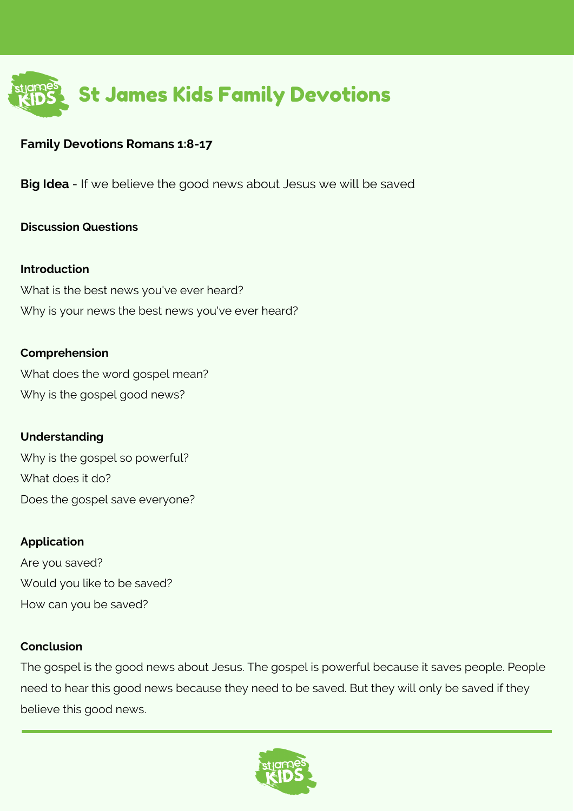

### **Family Devotions Romans 1:8-17**

**Big Idea** - If we believe the good news about Jesus we will be saved

### **Discussion Questions**

#### **Introduction**

What is the best news you've ever heard? Why is your news the best news you've ever heard?

#### **Comprehension**

What does the word gospel mean? Why is the gospel good news?

### **Understanding**

Why is the gospel so powerful? What does it do? Does the gospel save everyone?

#### **Application**

Are you saved? Would you like to be saved? How can you be saved?

#### **Conclusion**

The gospel is the good news about Jesus. The gospel is powerful because it saves people. People need to hear this good news because they need to be saved. But they will only be saved if they believe this good news.